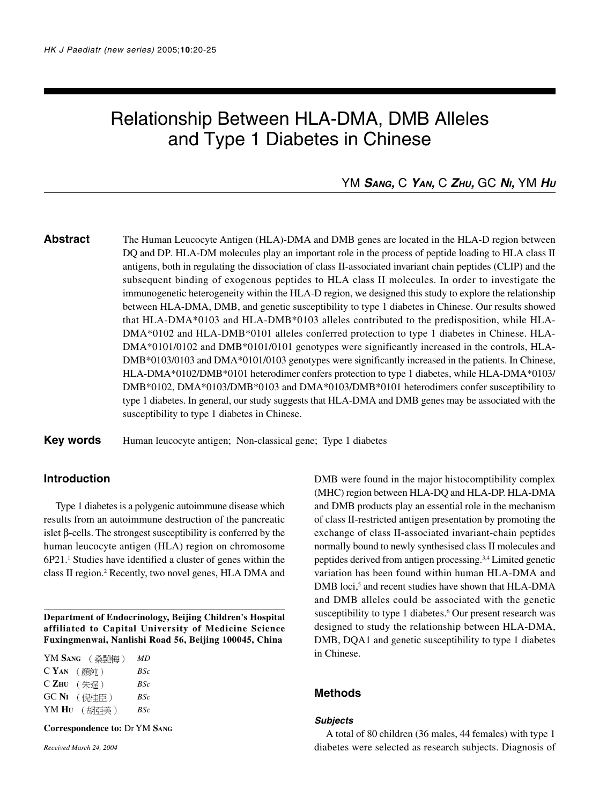# Relationship Between HLA-DMA, DMB Alleles and Type 1 Diabetes in Chinese

# YM **SANG,** C **YAN,** C **ZHU,** GC **N<sup>I</sup>,** YM **H<sup>U</sup>**

**Abstract** The Human Leucocyte Antigen (HLA)-DMA and DMB genes are located in the HLA-D region between DQ and DP. HLA-DM molecules play an important role in the process of peptide loading to HLA class II antigens, both in regulating the dissociation of class II-associated invariant chain peptides (CLIP) and the subsequent binding of exogenous peptides to HLA class II molecules. In order to investigate the immunogenetic heterogeneity within the HLA-D region, we designed this study to explore the relationship between HLA-DMA, DMB, and genetic susceptibility to type 1 diabetes in Chinese. Our results showed that HLA-DMA\*0103 and HLA-DMB\*0103 alleles contributed to the predisposition, while HLA-DMA\*0102 and HLA-DMB\*0101 alleles conferred protection to type 1 diabetes in Chinese. HLA-DMA\*0101/0102 and DMB\*0101/0101 genotypes were significantly increased in the controls, HLA-DMB\*0103/0103 and DMA\*0101/0103 genotypes were significantly increased in the patients. In Chinese, HLA-DMA\*0102/DMB\*0101 heterodimer confers protection to type 1 diabetes, while HLA-DMA\*0103/ DMB\*0102, DMA\*0103/DMB\*0103 and DMA\*0103/DMB\*0101 heterodimers confer susceptibility to type 1 diabetes. In general, our study suggests that HLA-DMA and DMB genes may be associated with the susceptibility to type 1 diabetes in Chinese.

**Key words** Human leucocyte antigen; Non-classical gene; Type 1 diabetes

# **Introduction**

Type 1 diabetes is a polygenic autoimmune disease which results from an autoimmune destruction of the pancreatic islet β-cells. The strongest susceptibility is conferred by the human leucocyte antigen (HLA) region on chromosome 6P21.<sup>1</sup> Studies have identified a cluster of genes within the class II region.<sup>2</sup> Recently, two novel genes, HLA DMA and

**Department of Endocrinology, Beijing Children's Hospital affiliated to Capital University of Medicine Science Fuxingmenwai, Nanlishi Road 56, Beijing 100045, China**

| YM SANG (桑艷梅)          | MD  |
|------------------------|-----|
| $C$ $Y_{AN}$ (顏純)      | BSc |
| $C Z_{HU}$ (朱逞)        | BSc |
| $GCNI$ ( <i>保</i> 桂臣 ) | BSc |
| YM Hu (胡亞美)            | BSc |

**Correspondence to:** Dr YM **SANG**

*Received March 24, 2004*

DMB were found in the major histocomptibility complex (MHC) region between HLA-DQ and HLA-DP. HLA-DMA and DMB products play an essential role in the mechanism of class II-restricted antigen presentation by promoting the exchange of class II-associated invariant-chain peptides normally bound to newly synthesised class II molecules and peptides derived from antigen processing.3,4 Limited genetic variation has been found within human HLA-DMA and DMB loci,<sup>5</sup> and recent studies have shown that HLA-DMA and DMB alleles could be associated with the genetic susceptibility to type 1 diabetes.<sup>6</sup> Our present research was designed to study the relationship between HLA-DMA, DMB, DQA1 and genetic susceptibility to type 1 diabetes in Chinese.

## **Methods**

#### **Subjects**

A total of 80 children (36 males, 44 females) with type 1 diabetes were selected as research subjects. Diagnosis of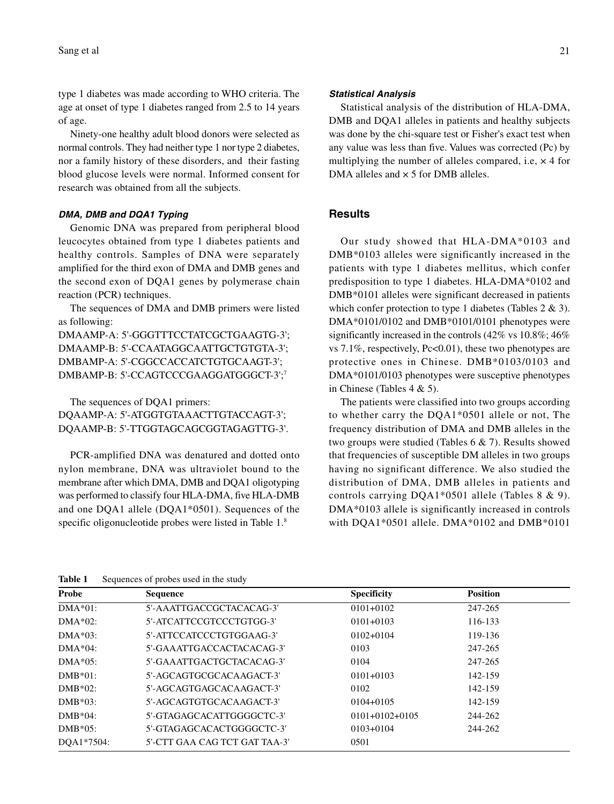type 1 diabetes was made according to WHO criteria. The age at onset of type 1 diabetes ranged from 2.5 to 14 years of age.

Ninety-one healthy adult blood donors were selected as normal controls. They had neither type 1 nor type 2 diabetes, nor a family history of these disorders, and their fasting blood glucose levels were normal. Informed consent for research was obtained from all the subjects.

#### **DMA, DMB and DQA1 Typing**

Genomic DNA was prepared from peripheral blood leucocytes obtained from type 1 diabetes patients and healthy controls. Samples of DNA were separately amplified for the third exon of DMA and DMB genes and the second exon of DQA1 genes by polymerase chain reaction (PCR) techniques.

The sequences of DMA and DMB primers were listed as following:

DMAAMP-A: 5'-GGGTTTCCTATCGCTGAAGTG-3'; DMAAMP-B: 5'-CCAATAGGCAATTGCTGTGTA-3'; DMBAMP-A: 5'-CGGCCACCATCTGTGCAAGT-3'; DMBAMP-B: 5'-CCAGTCCCGAAGGATGGGCT-3';7

The sequences of DQA1 primers: DQAAMP-A: 5'-ATGGTGTAAACTTGTACCAGT-3'; DQAAMP-B: 5'-TTGGTAGCAGCGGTAGAGTTG-3'.

PCR-amplified DNA was denatured and dotted onto nylon membrane, DNA was ultraviolet bound to the membrane after which DMA, DMB and DQA1 oligotyping was performed to classify four HLA-DMA, five HLA-DMB and one DQA1 allele (DQA1\*0501). Sequences of the specific oligonucleotide probes were listed in Table 1.8

#### **Statistical Analysis**

Statistical analysis of the distribution of HLA-DMA, DMB and DQA1 alleles in patients and healthy subjects was done by the chi-square test or Fisher's exact test when any value was less than five. Values was corrected (Pc) by multiplying the number of alleles compared, i.e,  $\times$  4 for DMA alleles and  $\times$  5 for DMB alleles.

### **Results**

Our study showed that HLA-DMA\*0103 and DMB\*0103 alleles were significantly increased in the patients with type 1 diabetes mellitus, which confer predisposition to type 1 diabetes. HLA-DMA\*0102 and DMB\*0101 alleles were significant decreased in patients which confer protection to type 1 diabetes (Tables 2 & 3). DMA\*0101/0102 and DMB\*0101/0101 phenotypes were significantly increased in the controls (42% vs 10.8%; 46% vs 7.1%, respectively, Pc<0.01), these two phenotypes are protective ones in Chinese. DMB\*0103/0103 and DMA\*0101/0103 phenotypes were susceptive phenotypes in Chinese (Tables 4 & 5).

The patients were classified into two groups according to whether carry the DQA1\*0501 allele or not, The frequency distribution of DMA and DMB alleles in the two groups were studied (Tables 6 & 7). Results showed that frequencies of susceptible DM alleles in two groups having no significant difference. We also studied the distribution of DMA, DMB alleles in patients and controls carrying DQA1\*0501 allele (Tables 8 & 9). DMA\*0103 allele is significantly increased in controls with DQA1\*0501 allele. DMA\*0102 and DMB\*0101

| Probe      | <b>Sequence</b>               | Specificity      | <b>Position</b> |
|------------|-------------------------------|------------------|-----------------|
| DMA*01:    | 5'-AAATTGACCGCTACACAG-3'      | $0101 + 0102$    | 247-265         |
| $DMA*02:$  | 5'-ATCATTCCGTCCCTGTGG-3'      | $0101 + 0103$    | 116-133         |
| DMA*03:    | 5'-ATTCCATCCCTGTGGAAG-3'      | $0102 + 0104$    | 119-136         |
| DMA*04:    | 5'-GAAATTGACCACTACACAG-3'     | 0103             | 247-265         |
| $DMA*05:$  | 5'-GAAATTGACTGCTACACAG-3'     | 0104             | 247-265         |
| DMB*01:    | 5'-AGCAGTGCGCACAAGACT-3'      | $0101 + 0103$    | 142-159         |
| DMB*02:    | 5'-AGCAGTGAGCACAAGACT-3'      | 0102             | 142-159         |
| $DMB*03:$  | 5'-AGCAGTGTGCACAAGACT-3'      | $0104 + 0105$    | 142-159         |
| $DMB*04:$  | 5'-GTAGAGCACATTGGGGCTC-3'     | $0101+0102+0105$ | 244-262         |
| DMB*05:    | 5'-GTAGAGCACACTGGGGCTC-3'     | $0103+0104$      | 244-262         |
| DOA1*7504: | 5'-CTT GAA CAG TCT GAT TAA-3' | 0501             |                 |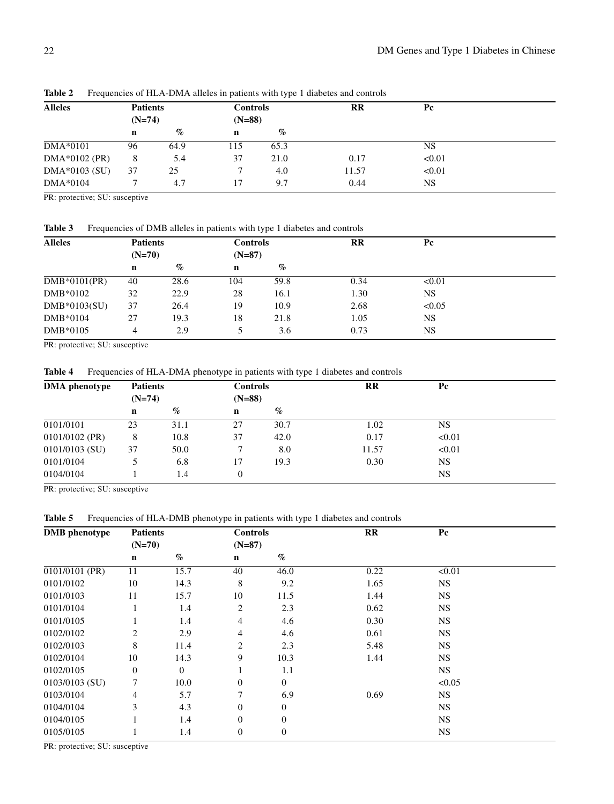| <b>Alleles</b> | <b>Patients</b> |      | <b>Controls</b> |      | $_{\rm RR}$ | Pc        |  |
|----------------|-----------------|------|-----------------|------|-------------|-----------|--|
|                | $(N=74)$        |      | $(N=88)$        |      |             |           |  |
|                | n               | $\%$ | $\mathbf n$     | $\%$ |             |           |  |
| DMA*0101       | 96              | 64.9 | 115             | 65.3 |             | <b>NS</b> |  |
| DMA*0102 (PR)  | 8               | 5.4  | 37              | 21.0 | 0.17        | < 0.01    |  |
| DMA*0103 (SU)  | 37              | 25   | ┑               | 4.0  | 11.57       | < 0.01    |  |
| DMA*0104       |                 | 4.7  | 17              | 9.7  | 0.44        | <b>NS</b> |  |

Table 2 Frequencies of HLA-DMA alleles in patients with type 1 diabetes and controls

PR: protective; SU: susceptive

Table 3 Frequencies of DMB alleles in patients with type 1 diabetes and controls

| <b>Alleles</b> | <b>Patients</b><br>$(N=70)$ |      | <b>Controls</b> |          | $_{\rm RR}$ | Рc        |  |
|----------------|-----------------------------|------|-----------------|----------|-------------|-----------|--|
|                |                             |      |                 | $(N=87)$ |             |           |  |
|                | n                           | $\%$ | $\mathbf n$     | $\%$     |             |           |  |
| $DMB*0101(PR)$ | 40                          | 28.6 | 104             | 59.8     | 0.34        | < 0.01    |  |
| DMB*0102       | 32                          | 22.9 | 28              | 16.1     | 1.30        | <b>NS</b> |  |
| $DMB*0103(SU)$ | 37                          | 26.4 | 19              | 10.9     | 2.68        | < 0.05    |  |
| DMB*0104       | 27                          | 19.3 | 18              | 21.8     | 1.05        | <b>NS</b> |  |
| DMB*0105       | 4                           | 2.9  | 5               | 3.6      | 0.73        | NS        |  |

PR: protective; SU: susceptive

**Table 4** Frequencies of HLA-DMA phenotype in patients with type 1 diabetes and controls

| <b>DMA</b> phenotype | <b>Patients</b> |      | <b>Controls</b> |      | <b>RR</b> | Pc        |  |
|----------------------|-----------------|------|-----------------|------|-----------|-----------|--|
|                      | $(N=74)$        |      | $(N=88)$        |      |           |           |  |
|                      | n               | $\%$ | $\mathbf n$     | $\%$ |           |           |  |
| 0101/0101            | 23              | 31.1 | 27              | 30.7 | 1.02      | <b>NS</b> |  |
| $0101/0102$ (PR)     | 8               | 10.8 | 37              | 42.0 | 0.17      | < 0.01    |  |
| $0101/0103$ (SU)     | 37              | 50.0 | ┑               | 8.0  | 11.57     | < 0.01    |  |
| 0101/0104            |                 | 6.8  | 17              | 19.3 | 0.30      | <b>NS</b> |  |
| 0104/0104            |                 | 1.4  | $\overline{0}$  |      |           | <b>NS</b> |  |

PR: protective; SU: susceptive

Table 5 Frequencies of HLA-DMB phenotype in patients with type 1 diabetes and controls

| <b>DMB</b> phenotype | <b>Patients</b> |          | <b>Controls</b>  |                  | RR   | Pc        |  |
|----------------------|-----------------|----------|------------------|------------------|------|-----------|--|
|                      | $(N=70)$        |          | $(N=87)$         |                  |      |           |  |
|                      | n               | $\%$     | $\mathbf n$      | $\%$             |      |           |  |
| $0101/0101$ (PR)     | 11              | 15.7     | 40               | 46.0             | 0.22 | < 0.01    |  |
| 0101/0102            | 10              | 14.3     | 8                | 9.2              | 1.65 | <b>NS</b> |  |
| 0101/0103            | 11              | 15.7     | 10               | 11.5             | 1.44 | <b>NS</b> |  |
| 0101/0104            |                 | 1.4      | 2                | 2.3              | 0.62 | <b>NS</b> |  |
| 0101/0105            |                 | 1.4      | 4                | 4.6              | 0.30 | <b>NS</b> |  |
| 0102/0102            | $\overline{c}$  | 2.9      | $\overline{4}$   | 4.6              | 0.61 | <b>NS</b> |  |
| 0102/0103            | 8               | 11.4     | 2                | 2.3              | 5.48 | <b>NS</b> |  |
| 0102/0104            | 10              | 14.3     | 9                | 10.3             | 1.44 | <b>NS</b> |  |
| 0102/0105            | $\mathbf{0}$    | $\theta$ |                  | 1.1              |      | <b>NS</b> |  |
| 0103/0103 (SU)       | 7               | 10.0     | $\theta$         | $\mathbf{0}$     |      | < 0.05    |  |
| 0103/0104            | 4               | 5.7      |                  | 6.9              | 0.69 | <b>NS</b> |  |
| 0104/0104            | 3               | 4.3      | $\Omega$         | $\overline{0}$   |      | <b>NS</b> |  |
| 0104/0105            |                 | 1.4      | $\Omega$         | $\mathbf{0}$     |      | <b>NS</b> |  |
| 0105/0105            |                 | 1.4      | $\boldsymbol{0}$ | $\boldsymbol{0}$ |      | <b>NS</b> |  |

PR: protective; SU: susceptive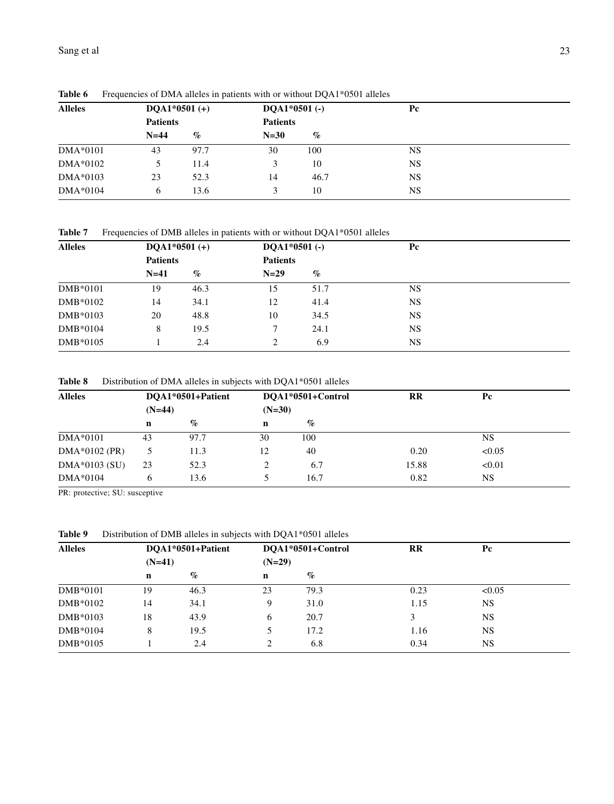| <b>Alleles</b> |                 | $DQA1*0501 (+)$ |                 | $DQA1*0501$ (-) | Pc        |  |
|----------------|-----------------|-----------------|-----------------|-----------------|-----------|--|
|                | <b>Patients</b> |                 | <b>Patients</b> |                 |           |  |
|                | $N=44$          | $\%$            | $N=30$          | $\%$            |           |  |
| $DMA*0101$     | 43              | 97.7            | 30              | 100             | <b>NS</b> |  |
| $DMA*0102$     |                 | 11.4            | 3               | 10              | <b>NS</b> |  |
| $DMA*0103$     | 23              | 52.3            | 14              | 46.7            | <b>NS</b> |  |
| DMA*0104       | 6               | 13.6            | 3               | 10              | <b>NS</b> |  |

Table 6 Frequencies of DMA alleles in patients with or without DQA1\*0501 alleles

Table 7 Frequencies of DMB alleles in patients with or without DQA1\*0501 alleles

| <b>Alleles</b> | DOA1*0501 $(+)$ |      | $DQA1*0501$ (-) |      | Pc        |  |
|----------------|-----------------|------|-----------------|------|-----------|--|
|                | <b>Patients</b> |      | <b>Patients</b> |      |           |  |
|                | $N=41$          | $\%$ | $N=29$          | $\%$ |           |  |
| $DMB*0101$     | 19              | 46.3 | 15              | 51.7 | <b>NS</b> |  |
| DMB*0102       | 14              | 34.1 | 12              | 41.4 | <b>NS</b> |  |
| DMB*0103       | 20              | 48.8 | 10              | 34.5 | <b>NS</b> |  |
| DMB*0104       | 8               | 19.5 |                 | 24.1 | <b>NS</b> |  |
| DMB*0105       |                 | 2.4  | 2               | 6.9  | <b>NS</b> |  |

Table 8 Distribution of DMA alleles in subjects with DQA1\*0501 alleles

| <b>Alleles</b>  |          | DOA1*0501+Patient |          | DOA1*0501+Control | <b>RR</b> | Pc        |  |
|-----------------|----------|-------------------|----------|-------------------|-----------|-----------|--|
|                 | $(N=44)$ |                   | $(N=30)$ |                   |           |           |  |
|                 | n        | $\%$              | n        | $\%$              |           |           |  |
| $DMA*0101$      | 43       | 97.7              | 30       | 100               |           | <b>NS</b> |  |
| $DMA*0102$ (PR) |          | 11.3              | 12       | 40                | 0.20      | < 0.05    |  |
| $DMA*0103$ (SU) | 23       | 52.3              | 2        | 6.7               | 15.88     | < 0.01    |  |
| $DMA*0104$      | 6        | 13.6              |          | 16.7              | 0.82      | <b>NS</b> |  |

PR: protective; SU: susceptive

Table 9 Distribution of DMB alleles in subjects with DQA1\*0501 alleles

| <b>Alleles</b> |    | DOA1*0501+Patient<br>$(N=41)$ |             | DOA1*0501+Control | <b>RR</b> | Pc        |  |
|----------------|----|-------------------------------|-------------|-------------------|-----------|-----------|--|
|                |    |                               |             | $(N=29)$          |           |           |  |
|                | n  | $\%$                          | $\mathbf n$ | $\%$              |           |           |  |
| DMB*0101       | 19 | 46.3                          | 23          | 79.3              | 0.23      | < 0.05    |  |
| DMB*0102       | 14 | 34.1                          | 9           | 31.0              | 1.15      | <b>NS</b> |  |
| DMB*0103       | 18 | 43.9                          | 6           | 20.7              | 3         | <b>NS</b> |  |
| DMB*0104       | 8  | 19.5                          |             | 17.2              | 1.16      | <b>NS</b> |  |
| DMB*0105       |    | 2.4                           | 2           | 6.8               | 0.34      | <b>NS</b> |  |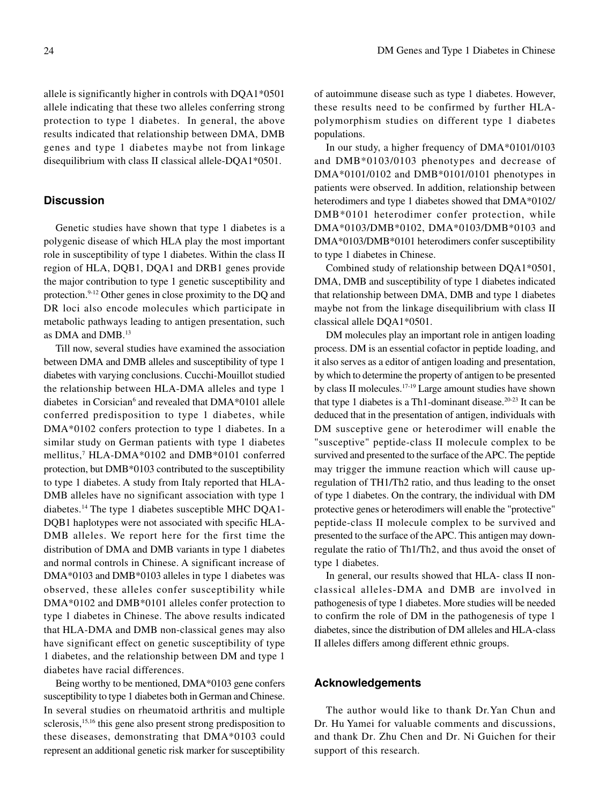allele is significantly higher in controls with DQA1\*0501 allele indicating that these two alleles conferring strong protection to type 1 diabetes. In general, the above results indicated that relationship between DMA, DMB genes and type 1 diabetes maybe not from linkage disequilibrium with class II classical allele-DQA1\*0501.

## **Discussion**

Genetic studies have shown that type 1 diabetes is a polygenic disease of which HLA play the most important role in susceptibility of type 1 diabetes. Within the class II region of HLA, DQB1, DQA1 and DRB1 genes provide the major contribution to type 1 genetic susceptibility and protection.9-12 Other genes in close proximity to the DQ and DR loci also encode molecules which participate in metabolic pathways leading to antigen presentation, such as DMA and DMB.13

Till now, several studies have examined the association between DMA and DMB alleles and susceptibility of type 1 diabetes with varying conclusions. Cucchi-Mouillot studied the relationship between HLA-DMA alleles and type 1 diabetes in Corsician<sup>6</sup> and revealed that DMA\*0101 allele conferred predisposition to type 1 diabetes, while DMA\*0102 confers protection to type 1 diabetes. In a similar study on German patients with type 1 diabetes mellitus,7 HLA-DMA\*0102 and DMB\*0101 conferred protection, but DMB\*0103 contributed to the susceptibility to type 1 diabetes. A study from Italy reported that HLA-DMB alleles have no significant association with type 1 diabetes.14 The type 1 diabetes susceptible MHC DQA1- DQB1 haplotypes were not associated with specific HLA-DMB alleles. We report here for the first time the distribution of DMA and DMB variants in type 1 diabetes and normal controls in Chinese. A significant increase of DMA\*0103 and DMB\*0103 alleles in type 1 diabetes was observed, these alleles confer susceptibility while DMA\*0102 and DMB\*0101 alleles confer protection to type 1 diabetes in Chinese. The above results indicated that HLA-DMA and DMB non-classical genes may also have significant effect on genetic susceptibility of type 1 diabetes, and the relationship between DM and type 1 diabetes have racial differences.

Being worthy to be mentioned, DMA\*0103 gene confers susceptibility to type 1 diabetes both in German and Chinese. In several studies on rheumatoid arthritis and multiple sclerosis,<sup>15,16</sup> this gene also present strong predisposition to these diseases, demonstrating that DMA\*0103 could represent an additional genetic risk marker for susceptibility

of autoimmune disease such as type 1 diabetes. However, these results need to be confirmed by further HLApolymorphism studies on different type 1 diabetes populations.

In our study, a higher frequency of DMA\*0101/0103 and DMB\*0103/0103 phenotypes and decrease of DMA\*0101/0102 and DMB\*0101/0101 phenotypes in patients were observed. In addition, relationship between heterodimers and type 1 diabetes showed that DMA\*0102/ DMB\*0101 heterodimer confer protection, while DMA\*0103/DMB\*0102, DMA\*0103/DMB\*0103 and DMA\*0103/DMB\*0101 heterodimers confer susceptibility to type 1 diabetes in Chinese.

Combined study of relationship between DQA1\*0501, DMA, DMB and susceptibility of type 1 diabetes indicated that relationship between DMA, DMB and type 1 diabetes maybe not from the linkage disequilibrium with class II classical allele DQA1\*0501.

DM molecules play an important role in antigen loading process. DM is an essential cofactor in peptide loading, and it also serves as a editor of antigen loading and presentation, by which to determine the property of antigen to be presented by class II molecules.17-19 Large amount studies have shown that type 1 diabetes is a Th1-dominant disease.<sup>20-23</sup> It can be deduced that in the presentation of antigen, individuals with DM susceptive gene or heterodimer will enable the "susceptive" peptide-class II molecule complex to be survived and presented to the surface of the APC. The peptide may trigger the immune reaction which will cause upregulation of TH1/Th2 ratio, and thus leading to the onset of type 1 diabetes. On the contrary, the individual with DM protective genes or heterodimers will enable the "protective" peptide-class II molecule complex to be survived and presented to the surface of the APC. This antigen may downregulate the ratio of Th1/Th2, and thus avoid the onset of type 1 diabetes.

In general, our results showed that HLA- class II nonclassical alleles-DMA and DMB are involved in pathogenesis of type 1 diabetes. More studies will be needed to confirm the role of DM in the pathogenesis of type 1 diabetes, since the distribution of DM alleles and HLA-class II alleles differs among different ethnic groups.

# **Acknowledgements**

The author would like to thank Dr.Yan Chun and Dr. Hu Yamei for valuable comments and discussions, and thank Dr. Zhu Chen and Dr. Ni Guichen for their support of this research.